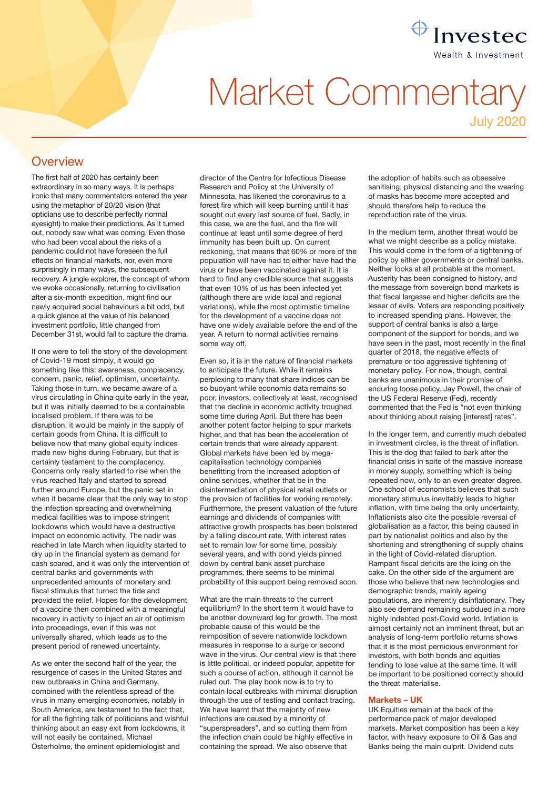

# Market Commentary

July 2020

# **Overview**

The first half of 2020 has certainly been extraordinary in so many ways. It is perhaps ironic that many commentators entered the year using the metaphor of 20/20 vision (that opticians use to describe perfectly normal eyesight) to make their predictions. As it turned out, nobody saw what was coming. Even those who had been vocal about the risks of a pandemic could not have foreseen the full effects on financial markets, nor, even more surprisingly in many ways, the subsequent recovery. A jungle explorer, the concept of whom we evoke occasionally, returning to civilisation after a six-month expedition, might find our newly acquired social behaviours a bit odd, but a quick glance at the value of his balanced investment portfolio, little changed from December 31st, would fail to capture the drama.

If one were to tell the story of the development of Covid-19 most simply, it would go something like this: awareness, complacency, concern, panic, relief, optimism, uncertainty. Taking those in turn, we became aware of a virus circulating in China quite early in the year, but it was initially deemed to be a containable localised problem. If there was to be disruption, it would be mainly in the supply of certain goods from China. It is difficult to believe now that many global equity indices made new highs during February, but that is certainly testament to the complacency. Concerns only really started to rise when the virus reached Italy and started to spread further around Europe, but the panic set in when it became clear that the only way to stop the infection spreading and overwhelming medical facilities was to impose stringent lockdowns which would have a destructive impact on economic activity. The nadir was reached in late March when liquidity started to dry up in the financial system as demand for cash soared, and it was only the intervention of central banks and governments with unprecedented amounts of monetary and fiscal stimulus that turned the tide and provided the relief. Hopes for the development of a vaccine then combined with a meaningful recovery in activity to inject an air of optimism into proceedings, even if this was not universally shared, which leads us to the present period of renewed uncertainty.

As we enter the second half of the year, the resurgence of cases in the United States and new outbreaks in China and Germany, combined with the relentless spread of the virus in many emerging economies, notably in South America, are testament to the fact that, for all the fighting talk of politicians and wishful thinking about an easy exit from lockdowns, it will not easily be contained. Michael Osterholme, the eminent epidemiologist and

director of the Centre for Infectious Disease Research and Policy at the University of Minnesota, has likened the coronavirus to a forest fire which will keep burning until it has sought out every last source of fuel. Sadly, in this case, we are the fuel, and the fire will continue at least until some degree of herd immunity has been built up. On current reckoning, that means that 60% or more of the population will have had to either have had the virus or have been vaccinated against it. It is hard to find any credible source that suggests that even 10% of us has been infected yet (although there are wide local and regional variations), while the most optimistic timeline for the development of a vaccine does not have one widely available before the end of the year. A return to normal activities remains some way off.

Even so, it is in the nature of financial markets to anticipate the future. While it remains perplexing to many that share indices can be so buoyant while economic data remains so poor, investors, collectively at least, recognised that the decline in economic activity troughed some time during April. But there has been another potent factor helping to spur markets higher, and that has been the acceleration of certain trends that were already apparent. Global markets have been led by megacapitalisation technology companies benefitting from the increased adoption of online services, whether that be in the disintermediation of physical retail outlets or the provision of facilities for working remotely. Furthermore, the present valuation of the future earnings and dividends of companies with attractive growth prospects has been bolstered by a falling discount rate. With interest rates set to remain low for some time, possibly several years, and with bond yields pinned down by central bank asset purchase programmes, there seems to be minimal probability of this support being removed soon.

What are the main threats to the current equilibrium? In the short term it would have to be another downward leg for growth. The most probable cause of this would be the reimposition of severe nationwide lockdown measures in response to a surge or second wave in the virus. Our central view is that there is little political, or indeed popular, appetite for such a course of action, although it cannot be ruled out. The play book now is to try to contain local outbreaks with minimal disruption through the use of testing and contact tracing. We have learnt that the majority of new infections are caused by a minority of "superspreaders", and so cutting them from the infection chain could be highly effective in containing the spread. We also observe that

the adoption of habits such as obsessive sanitising, physical distancing and the wearing of masks has become more accepted and should therefore help to reduce the reproduction rate of the virus.

In the medium term, another threat would be what we might describe as a policy mistake. This would come in the form of a tightening of policy by either governments or central banks. Neither looks at all probable at the moment. Austerity has been consigned to history, and the message from sovereign bond markets is that fiscal largesse and higher deficits are the lesser of evils. Voters are responding positively to increased spending plans. However, the support of central banks is also a large component of the support for bonds, and we have seen in the past, most recently in the final quarter of 2018, the negative effects of premature or too aggressive tightening of monetary policy. For now, though, central banks are unanimous in their promise of enduring loose policy. Jay Powell, the chair of the US Federal Reserve (Fed), recently commented that the Fed is "not even thinking about thinking about raising [interest] rates".

In the longer term, and currently much debated in investment circles, is the threat of inflation. This is the dog that failed to bark after the financial crisis in spite of the massive increase in money supply, something which is being repeated now, only to an even greater degree. One school of economists believes that such monetary stimulus inevitably leads to higher inflation, with time being the only uncertainty. Inflationists also cite the possible reversal of globalisation as a factor, this being caused in part by nationalist politics and also by the shortening and strengthening of supply chains in the light of Covid-related disruption. Rampant fiscal deficits are the icing on the cake. On the other side of the argument are those who believe that new technologies and demographic trends, mainly ageing populations, are inherently disinflationary. They also see demand remaining subdued in a more highly indebted post-Covid world. Inflation is almost certainly not an imminent threat, but an analysis of long-term portfolio returns shows that it is the most pernicious environment for investors, with both bonds and equities tending to lose value at the same time. It will be important to be positioned correctly should the threat materialise.

#### Markets – UK

UK Equities remain at the back of the performance pack of major developed markets. Market composition has been a key factor, with heavy exposure to Oil & Gas and Banks being the main culprit. Dividend cuts